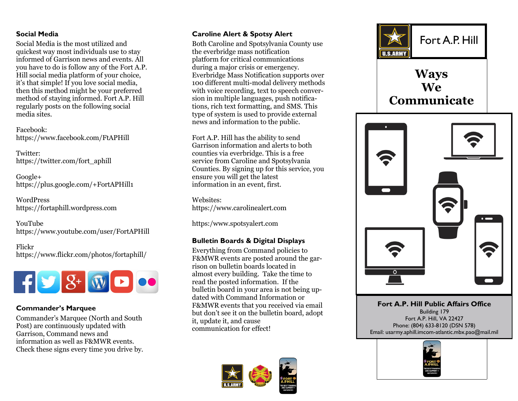## **Social Media**

Social Media is the most utilized and quickest way most individuals use to stay informed of Garrison news and events. All you have to do is follow any of the Fort A.P. Hill social media platform of your choice, it's that simple! If you love social media, then this method might be your preferred method of staying informed. Fort A.P. Hill regularly posts on the following social media sites.

Facebook: https://www.facebook.com/FtAPHill

Twitter: https://twitter.com/fort\_aphill

Google+ https://plus.google.com/+FortAPHill1

WordPress https://fortaphill.wordpress.com

YouTube https://www.youtube.com/user/FortAPHill

Flickr https://www.flickr.com/photos/fortaphill/



# **Commander's Marquee**

Commander's Marquee (North and South Post) are continuously updated with Garrison, Command news and information as well as F&MWR events. Check these signs every time you drive by.

the everbridge mass notification platform for critical communications during a major crisis or emergency. Everbridge Mass Notification supports over 100 different multi-modal delivery methods with voice recording, text to speech conversion in multiple languages, push notifications, rich text formatting, and SMS. This type of system is used to provide external news and information to the public.

Fort A.P. Hill has the ability to send Garrison information and alerts to both counties via everbridge. This is a free service from Caroline and Spotsylvania Counties. By signing up for this service, you ensure you will get the latest information in an event, first.

Websites: https://www.carolinealert.com

https:/www.spotsyalert.com

# **Bulletin Boards & Digital Displays**

Everything from Command policies to F&MWR events are posted around the garrison on bulletin boards located in almost every building. Take the time to read the posted information. If the bulletin board in your area is not being updated with Command Information or F&MWR events that you received via email but don't see it on the bulletin board, adopt it, update it, and cause communication for effect!





# **Ways We Communicate**



**Fort A.P. Hill Public Affairs Office**  Building 179 Fort A.P. Hill, VA 22427 Phone: (804) 633-8120 (DSN 578) Email: usarmy.aphill.imcom-atlantic.mbx.pao@mail.mil